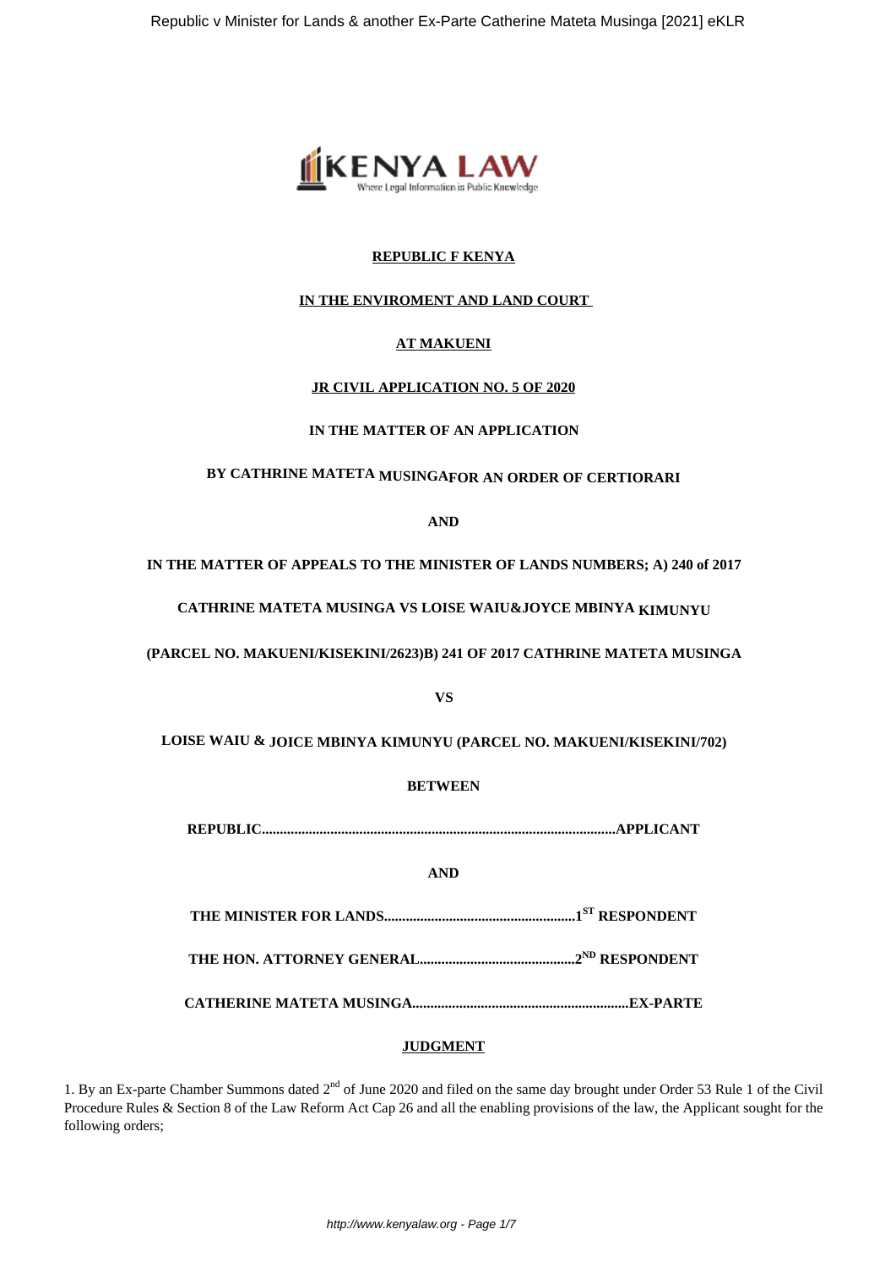

# **REPUBLIC F KENYA**

# **IN THE ENVIROMENT AND LAND COURT**

# **AT MAKUENI**

# **JR CIVIL APPLICATION NO. 5 OF 2020**

#### **IN THE MATTER OF AN APPLICATION**

# **BY CATHRINE MATETA MUSINGAFOR AN ORDER OF CERTIORARI**

**AND**

# **IN THE MATTER OF APPEALS TO THE MINISTER OF LANDS NUMBERS; A) 240 of 2017**

**CATHRINE MATETA MUSINGA VS LOISE WAIU&JOYCE MBINYA KIMUNYU**

**(PARCEL NO. MAKUENI/KISEKINI/2623)B) 241 OF 2017 CATHRINE MATETA MUSINGA**

**VS**

**LOISE WAIU & JOICE MBINYA KIMUNYU (PARCEL NO. MAKUENI/KISEKINI/702)**

## **BETWEEN**

**REPUBLIC..................................................................................................APPLICANT**

## **AND**

**THE MINISTER FOR LANDS.....................................................1ST RESPONDENT**

**THE HON. ATTORNEY GENERAL...........................................2ND RESPONDENT**

**CATHERINE MATETA MUSINGA............................................................EX-PARTE**

#### **JUDGMENT**

1. By an Ex-parte Chamber Summons dated  $2^{nd}$  of June 2020 and filed on the same day brought under Order 53 Rule 1 of the Civil Procedure Rules & Section 8 of the Law Reform Act Cap 26 and all the enabling provisions of the law, the Applicant sought for the following orders;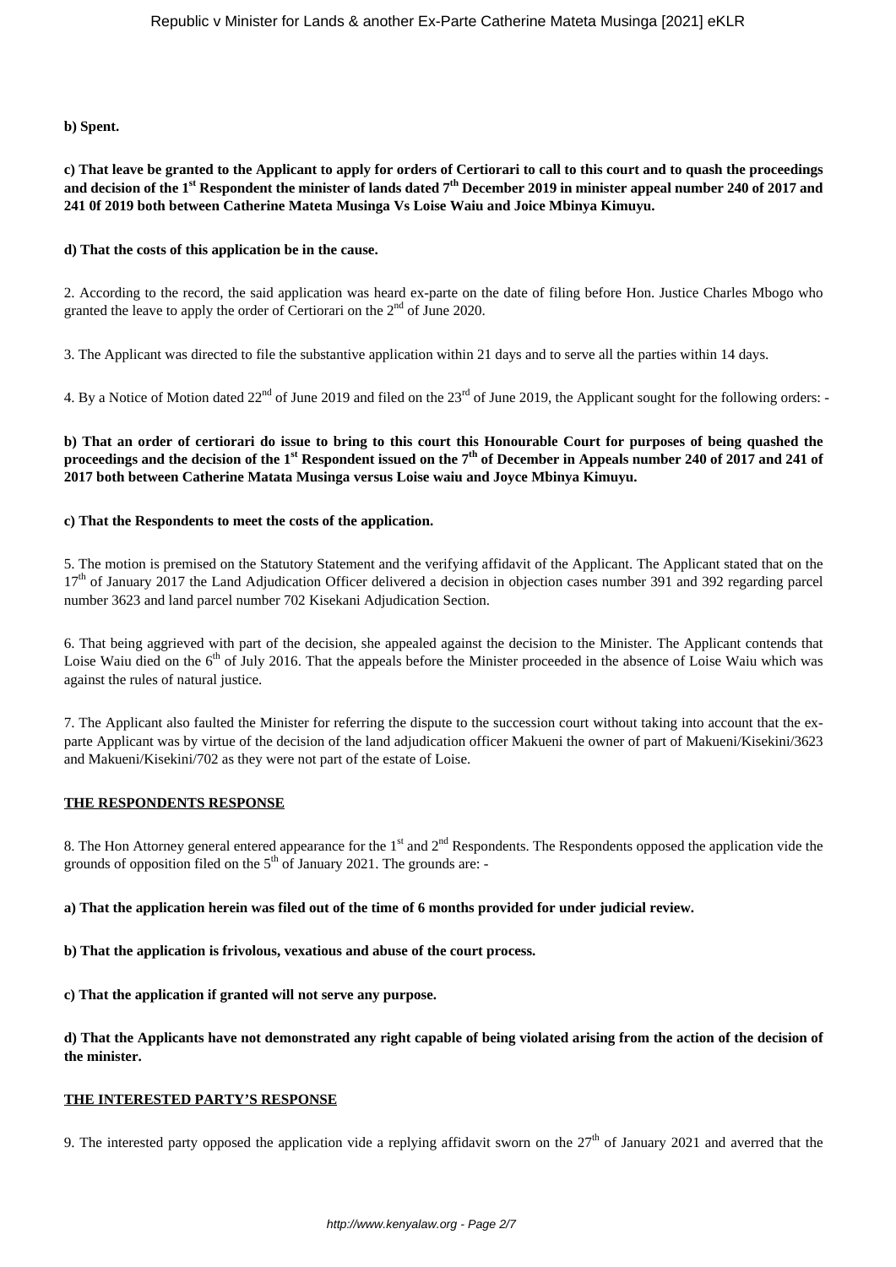**b) Spent.**

## **c) That leave be granted to the Applicant to apply for orders of Certiorari to call to this court and to quash the proceedings and decision of the 1st Respondent the minister of lands dated 7th December 2019 in minister appeal number 240 of 2017 and 241 0f 2019 both between Catherine Mateta Musinga Vs Loise Waiu and Joice Mbinya Kimuyu.**

#### **d) That the costs of this application be in the cause.**

2. According to the record, the said application was heard ex-parte on the date of filing before Hon. Justice Charles Mbogo who granted the leave to apply the order of Certiorari on the  $2<sup>nd</sup>$  of June 2020.

3. The Applicant was directed to file the substantive application within 21 days and to serve all the parties within 14 days.

4. By a Notice of Motion dated  $22^{nd}$  of June 2019 and filed on the  $23^{rd}$  of June 2019, the Applicant sought for the following orders: -

**b) That an order of certiorari do issue to bring to this court this Honourable Court for purposes of being quashed the proceedings and the decision of the 1st Respondent issued on the 7th of December in Appeals number 240 of 2017 and 241 of 2017 both between Catherine Matata Musinga versus Loise waiu and Joyce Mbinya Kimuyu.**

#### **c) That the Respondents to meet the costs of the application.**

5. The motion is premised on the Statutory Statement and the verifying affidavit of the Applicant. The Applicant stated that on the 17<sup>th</sup> of January 2017 the Land Adjudication Officer delivered a decision in objection cases number 391 and 392 regarding parcel number 3623 and land parcel number 702 Kisekani Adjudication Section.

6. That being aggrieved with part of the decision, she appealed against the decision to the Minister. The Applicant contends that Loise Waiu died on the  $6<sup>th</sup>$  of July 2016. That the appeals before the Minister proceeded in the absence of Loise Waiu which was against the rules of natural justice.

7. The Applicant also faulted the Minister for referring the dispute to the succession court without taking into account that the exparte Applicant was by virtue of the decision of the land adjudication officer Makueni the owner of part of Makueni/Kisekini/3623 and Makueni/Kisekini/702 as they were not part of the estate of Loise.

# **THE RESPONDENTS RESPONSE**

8. The Hon Attorney general entered appearance for the 1<sup>st</sup> and 2<sup>nd</sup> Respondents. The Respondents opposed the application vide the grounds of opposition filed on the  $5<sup>th</sup>$  of January 2021. The grounds are: -

#### **a) That the application herein was filed out of the time of 6 months provided for under judicial review.**

**b) That the application is frivolous, vexatious and abuse of the court process.**

**c) That the application if granted will not serve any purpose.**

**d) That the Applicants have not demonstrated any right capable of being violated arising from the action of the decision of the minister.**

#### **THE INTERESTED PARTY'S RESPONSE**

9. The interested party opposed the application vide a replying affidavit sworn on the  $27<sup>th</sup>$  of January 2021 and averred that the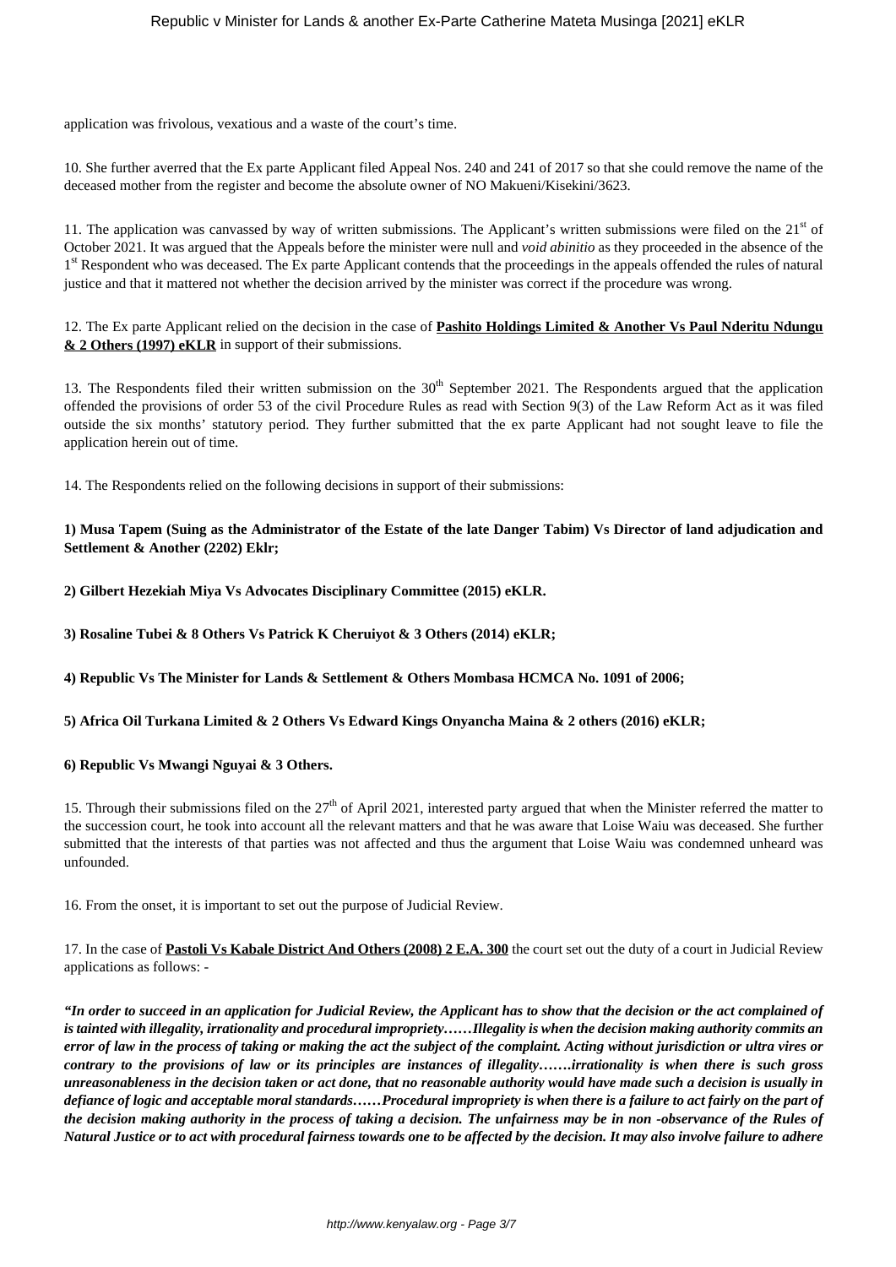application was frivolous, vexatious and a waste of the court's time.

10. She further averred that the Ex parte Applicant filed Appeal Nos. 240 and 241 of 2017 so that she could remove the name of the deceased mother from the register and become the absolute owner of NO Makueni/Kisekini/3623.

11. The application was canvassed by way of written submissions. The Applicant's written submissions were filed on the  $21<sup>st</sup>$  of October 2021. It was argued that the Appeals before the minister were null and *void abinitio* as they proceeded in the absence of the 1<sup>st</sup> Respondent who was deceased. The Ex parte Applicant contends that the proceedings in the appeals offended the rules of natural justice and that it mattered not whether the decision arrived by the minister was correct if the procedure was wrong.

12. The Ex parte Applicant relied on the decision in the case of **Pashito Holdings Limited & Another Vs Paul Nderitu Ndungu & 2 Others (1997) eKLR** in support of their submissions.

13. The Respondents filed their written submission on the  $30<sup>th</sup>$  September 2021. The Respondents argued that the application offended the provisions of order 53 of the civil Procedure Rules as read with Section 9(3) of the Law Reform Act as it was filed outside the six months' statutory period. They further submitted that the ex parte Applicant had not sought leave to file the application herein out of time.

14. The Respondents relied on the following decisions in support of their submissions:

**1) Musa Tapem (Suing as the Administrator of the Estate of the late Danger Tabim) Vs Director of land adjudication and Settlement & Another (2202) Eklr;**

**2) Gilbert Hezekiah Miya Vs Advocates Disciplinary Committee (2015) eKLR.**

**3) Rosaline Tubei & 8 Others Vs Patrick K Cheruiyot & 3 Others (2014) eKLR;**

**4) Republic Vs The Minister for Lands & Settlement & Others Mombasa HCMCA No. 1091 of 2006;**

**5) Africa Oil Turkana Limited & 2 Others Vs Edward Kings Onyancha Maina & 2 others (2016) eKLR;**

**6) Republic Vs Mwangi Nguyai & 3 Others.**

15. Through their submissions filed on the 27<sup>th</sup> of April 2021, interested party argued that when the Minister referred the matter to the succession court, he took into account all the relevant matters and that he was aware that Loise Waiu was deceased. She further submitted that the interests of that parties was not affected and thus the argument that Loise Waiu was condemned unheard was unfounded.

16. From the onset, it is important to set out the purpose of Judicial Review.

17. In the case of **Pastoli Vs Kabale District And Others (2008) 2 E.A. 300** the court set out the duty of a court in Judicial Review applications as follows: -

*"In order to succeed in an application for Judicial Review, the Applicant has to show that the decision or the act complained of is tainted with illegality, irrationality and procedural impropriety……Illegality is when the decision making authority commits an error of law in the process of taking or making the act the subject of the complaint. Acting without jurisdiction or ultra vires or contrary to the provisions of law or its principles are instances of illegality…….irrationality is when there is such gross unreasonableness in the decision taken or act done, that no reasonable authority would have made such a decision is usually in defiance of logic and acceptable moral standards……Procedural impropriety is when there is a failure to act fairly on the part of the decision making authority in the process of taking a decision. The unfairness may be in non -observance of the Rules of Natural Justice or to act with procedural fairness towards one to be affected by the decision. It may also involve failure to adhere*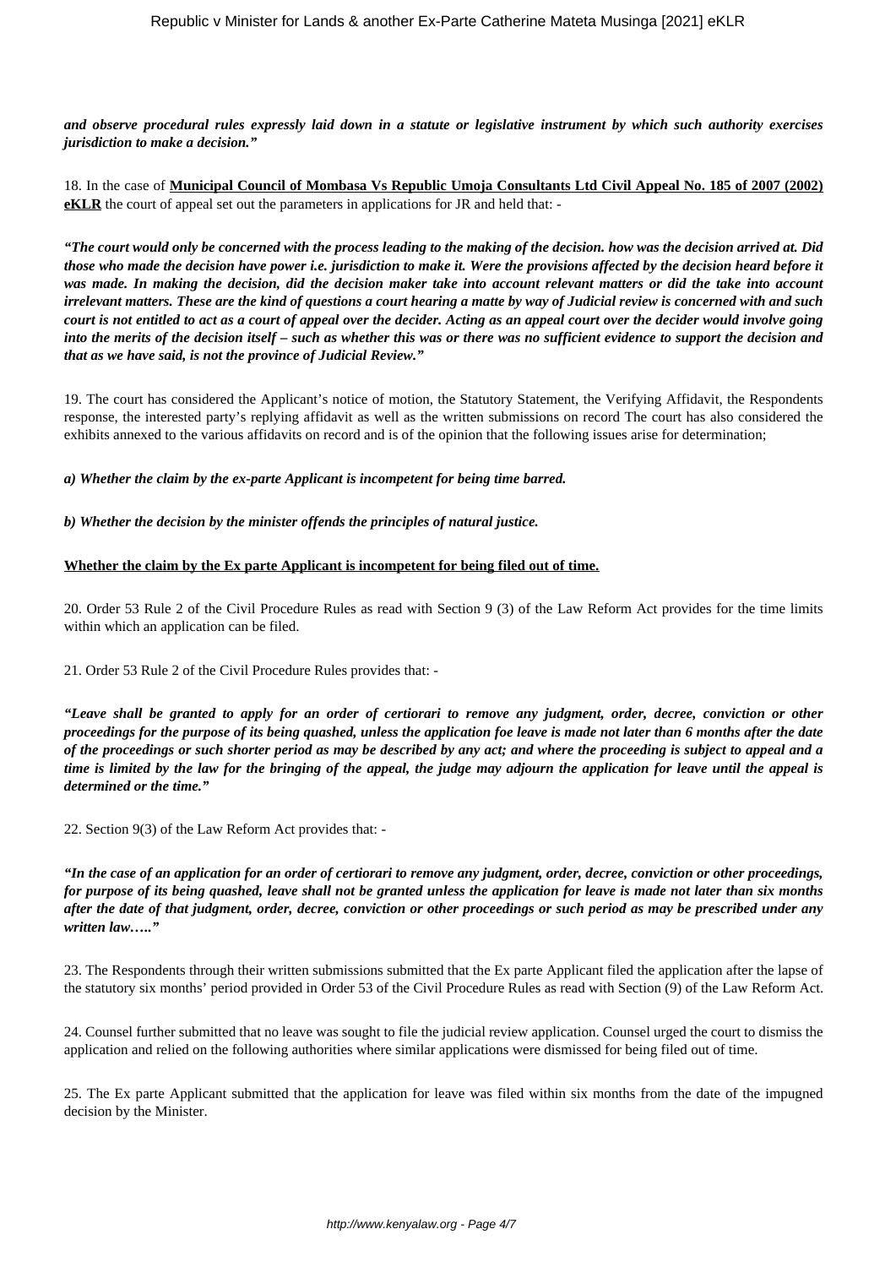*and observe procedural rules expressly laid down in a statute or legislative instrument by which such authority exercises jurisdiction to make a decision."*

18. In the case of **Municipal Council of Mombasa Vs Republic Umoja Consultants Ltd Civil Appeal No. 185 of 2007 (2002) eKLR** the court of appeal set out the parameters in applications for JR and held that: -

*"The court would only be concerned with the process leading to the making of the decision. how was the decision arrived at. Did those who made the decision have power i.e. jurisdiction to make it. Were the provisions affected by the decision heard before it was made. In making the decision, did the decision maker take into account relevant matters or did the take into account irrelevant matters. These are the kind of questions a court hearing a matte by way of Judicial review is concerned with and such court is not entitled to act as a court of appeal over the decider. Acting as an appeal court over the decider would involve going into the merits of the decision itself – such as whether this was or there was no sufficient evidence to support the decision and that as we have said, is not the province of Judicial Review."*

19. The court has considered the Applicant's notice of motion, the Statutory Statement, the Verifying Affidavit, the Respondents response, the interested party's replying affidavit as well as the written submissions on record The court has also considered the exhibits annexed to the various affidavits on record and is of the opinion that the following issues arise for determination;

*a) Whether the claim by the ex-parte Applicant is incompetent for being time barred.*

*b) Whether the decision by the minister offends the principles of natural justice.*

## **Whether the claim by the Ex parte Applicant is incompetent for being filed out of time.**

20. Order 53 Rule 2 of the Civil Procedure Rules as read with Section 9 (3) of the Law Reform Act provides for the time limits within which an application can be filed.

21. Order 53 Rule 2 of the Civil Procedure Rules provides that: -

*"Leave shall be granted to apply for an order of certiorari to remove any judgment, order, decree, conviction or other proceedings for the purpose of its being quashed, unless the application foe leave is made not later than 6 months after the date of the proceedings or such shorter period as may be described by any act; and where the proceeding is subject to appeal and a time is limited by the law for the bringing of the appeal, the judge may adjourn the application for leave until the appeal is determined or the time."*

22. Section 9(3) of the Law Reform Act provides that: -

*"In the case of an application for an order of certiorari to remove any judgment, order, decree, conviction or other proceedings, for purpose of its being quashed, leave shall not be granted unless the application for leave is made not later than six months after the date of that judgment, order, decree, conviction or other proceedings or such period as may be prescribed under any written law….."*

23. The Respondents through their written submissions submitted that the Ex parte Applicant filed the application after the lapse of the statutory six months' period provided in Order 53 of the Civil Procedure Rules as read with Section (9) of the Law Reform Act.

24. Counsel further submitted that no leave was sought to file the judicial review application. Counsel urged the court to dismiss the application and relied on the following authorities where similar applications were dismissed for being filed out of time.

25. The Ex parte Applicant submitted that the application for leave was filed within six months from the date of the impugned decision by the Minister.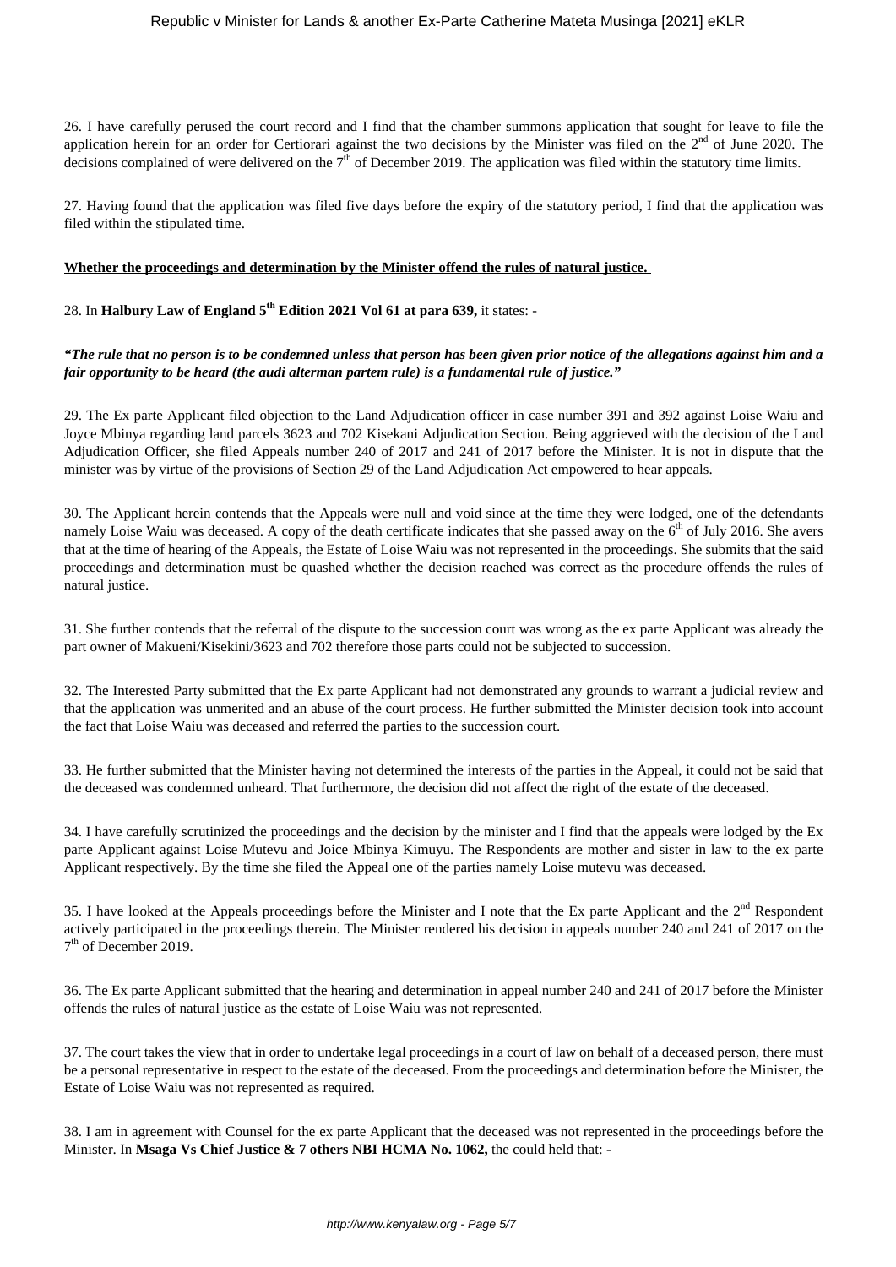26. I have carefully perused the court record and I find that the chamber summons application that sought for leave to file the application herein for an order for Certiorari against the two decisions by the Minister was filed on the  $2<sup>nd</sup>$  of June 2020. The decisions complained of were delivered on the  $7<sup>th</sup>$  of December 2019. The application was filed within the statutory time limits.

27. Having found that the application was filed five days before the expiry of the statutory period, I find that the application was filed within the stipulated time.

## **Whether the proceedings and determination by the Minister offend the rules of natural justice.**

28. In **Halbury Law of England 5th Edition 2021 Vol 61 at para 639,** it states: -

## *"The rule that no person is to be condemned unless that person has been given prior notice of the allegations against him and a fair opportunity to be heard (the audi alterman partem rule) is a fundamental rule of justice."*

29. The Ex parte Applicant filed objection to the Land Adjudication officer in case number 391 and 392 against Loise Waiu and Joyce Mbinya regarding land parcels 3623 and 702 Kisekani Adjudication Section. Being aggrieved with the decision of the Land Adjudication Officer, she filed Appeals number 240 of 2017 and 241 of 2017 before the Minister. It is not in dispute that the minister was by virtue of the provisions of Section 29 of the Land Adjudication Act empowered to hear appeals.

30. The Applicant herein contends that the Appeals were null and void since at the time they were lodged, one of the defendants namely Loise Waiu was deceased. A copy of the death certificate indicates that she passed away on the 6<sup>th</sup> of July 2016. She avers that at the time of hearing of the Appeals, the Estate of Loise Waiu was not represented in the proceedings. She submits that the said proceedings and determination must be quashed whether the decision reached was correct as the procedure offends the rules of natural justice.

31. She further contends that the referral of the dispute to the succession court was wrong as the ex parte Applicant was already the part owner of Makueni/Kisekini/3623 and 702 therefore those parts could not be subjected to succession.

32. The Interested Party submitted that the Ex parte Applicant had not demonstrated any grounds to warrant a judicial review and that the application was unmerited and an abuse of the court process. He further submitted the Minister decision took into account the fact that Loise Waiu was deceased and referred the parties to the succession court.

33. He further submitted that the Minister having not determined the interests of the parties in the Appeal, it could not be said that the deceased was condemned unheard. That furthermore, the decision did not affect the right of the estate of the deceased.

34. I have carefully scrutinized the proceedings and the decision by the minister and I find that the appeals were lodged by the Ex parte Applicant against Loise Mutevu and Joice Mbinya Kimuyu. The Respondents are mother and sister in law to the ex parte Applicant respectively. By the time she filed the Appeal one of the parties namely Loise mutevu was deceased.

35. I have looked at the Appeals proceedings before the Minister and I note that the Ex parte Applicant and the  $2<sup>nd</sup>$  Respondent actively participated in the proceedings therein. The Minister rendered his decision in appeals number 240 and 241 of 2017 on the 7<sup>th</sup> of December 2019.

36. The Ex parte Applicant submitted that the hearing and determination in appeal number 240 and 241 of 2017 before the Minister offends the rules of natural justice as the estate of Loise Waiu was not represented.

37. The court takes the view that in order to undertake legal proceedings in a court of law on behalf of a deceased person, there must be a personal representative in respect to the estate of the deceased. From the proceedings and determination before the Minister, the Estate of Loise Waiu was not represented as required.

38. I am in agreement with Counsel for the ex parte Applicant that the deceased was not represented in the proceedings before the Minister. In **Msaga Vs Chief Justice & 7 others NBI HCMA No. 1062**, the could held that: -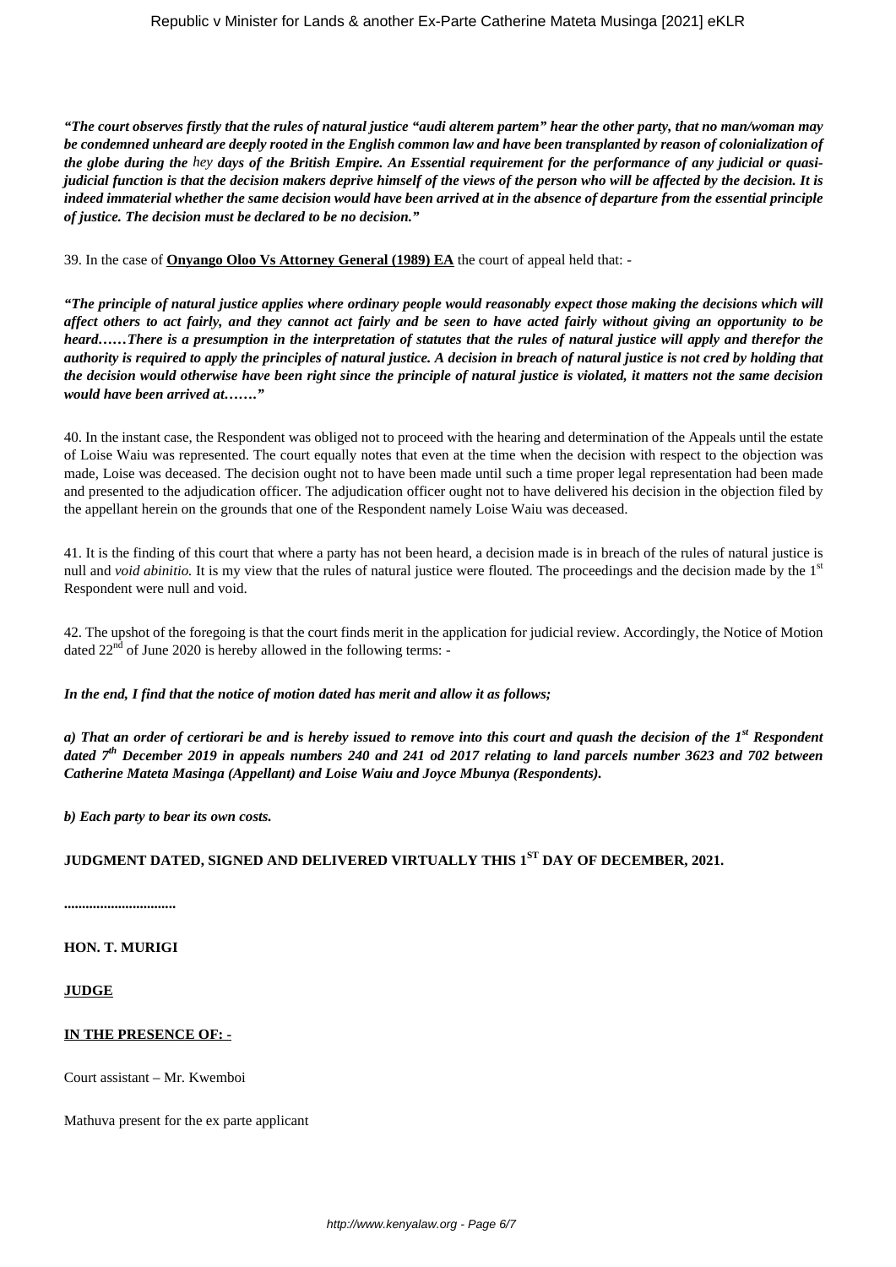*"The court observes firstly that the rules of natural justice "audi alterem partem" hear the other party, that no man/woman may be condemned unheard are deeply rooted in the English common law and have been transplanted by reason of colonialization of the globe during the hey days of the British Empire. An Essential requirement for the performance of any judicial or quasijudicial function is that the decision makers deprive himself of the views of the person who will be affected by the decision. It is indeed immaterial whether the same decision would have been arrived at in the absence of departure from the essential principle of justice. The decision must be declared to be no decision."*

39. In the case of **Onyango Oloo Vs Attorney General (1989) EA** the court of appeal held that: -

*"The principle of natural justice applies where ordinary people would reasonably expect those making the decisions which will affect others to act fairly, and they cannot act fairly and be seen to have acted fairly without giving an opportunity to be heard……There is a presumption in the interpretation of statutes that the rules of natural justice will apply and therefor the authority is required to apply the principles of natural justice. A decision in breach of natural justice is not cred by holding that the decision would otherwise have been right since the principle of natural justice is violated, it matters not the same decision would have been arrived at……."*

40. In the instant case, the Respondent was obliged not to proceed with the hearing and determination of the Appeals until the estate of Loise Waiu was represented. The court equally notes that even at the time when the decision with respect to the objection was made, Loise was deceased. The decision ought not to have been made until such a time proper legal representation had been made and presented to the adjudication officer. The adjudication officer ought not to have delivered his decision in the objection filed by the appellant herein on the grounds that one of the Respondent namely Loise Waiu was deceased.

41. It is the finding of this court that where a party has not been heard, a decision made is in breach of the rules of natural justice is null and *void abinitio*. It is my view that the rules of natural justice were flouted. The proceedings and the decision made by the 1<sup>st</sup> Respondent were null and void.

42. The upshot of the foregoing is that the court finds merit in the application for judicial review. Accordingly, the Notice of Motion dated  $22<sup>nd</sup>$  of June 2020 is hereby allowed in the following terms: -

*In the end, I find that the notice of motion dated has merit and allow it as follows;*

*a) That an order of certiorari be and is hereby issued to remove into this court and quash the decision of the 1st Respondent dated 7th December 2019 in appeals numbers 240 and 241 od 2017 relating to land parcels number 3623 and 702 between Catherine Mateta Masinga (Appellant) and Loise Waiu and Joyce Mbunya (Respondents).*

*b) Each party to bear its own costs.*

# **JUDGMENT DATED, SIGNED AND DELIVERED VIRTUALLY THIS 1ST DAY OF DECEMBER, 2021.**

**...............................**

**HON. T. MURIGI**

**JUDGE**

## **IN THE PRESENCE OF: -**

Court assistant – Mr. Kwemboi

Mathuva present for the ex parte applicant